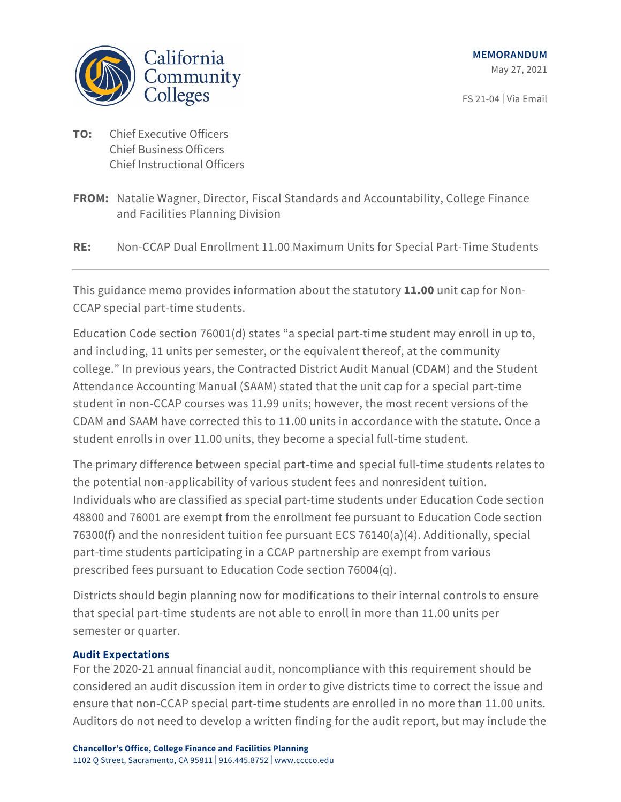

FS 21-04 | Via Email

- **TO:** Chief Executive Officers Chief Business Officers Chief Instructional Officers
- **FROM:** Natalie Wagner, Director, Fiscal Standards and Accountability, College Finance and Facilities Planning Division

**RE:** Non-CCAP Dual Enrollment 11.00 Maximum Units for Special Part-Time Students

This guidance memo provides information about the statutory **11.00** unit cap for Non-CCAP special part-time students.

Education Code section 76001(d) states "a special part-time student may enroll in up to, and including, 11 units per semester, or the equivalent thereof, at the community college." In previous years, the Contracted District Audit Manual (CDAM) and the Student Attendance Accounting Manual (SAAM) stated that the unit cap for a special part-time student in non-CCAP courses was 11.99 units; however, the most recent versions of the CDAM and SAAM have corrected this to 11.00 units in accordance with the statute. Once a student enrolls in over 11.00 units, they become a special full-time student.

The primary difference between special part-time and special full-time students relates to the potential non-applicability of various student fees and nonresident tuition. Individuals who are classified as special part-time students under Education Code section 48800 and 76001 are exempt from the enrollment fee pursuant to Education Code section 76300(f) and the nonresident tuition fee pursuant ECS 76140(a)(4). Additionally, special part-time students participating in a CCAP partnership are exempt from various prescribed fees pursuant to Education Code section 76004(q).

Districts should begin planning now for modifications to their internal controls to ensure that special part-time students are not able to enroll in more than 11.00 units per semester or quarter.

## **Audit Expectations**

For the 2020-21 annual financial audit, noncompliance with this requirement should be considered an audit discussion item in order to give districts time to correct the issue and ensure that non-CCAP special part-time students are enrolled in no more than 11.00 units. Auditors do not need to develop a written finding for the audit report, but may include the